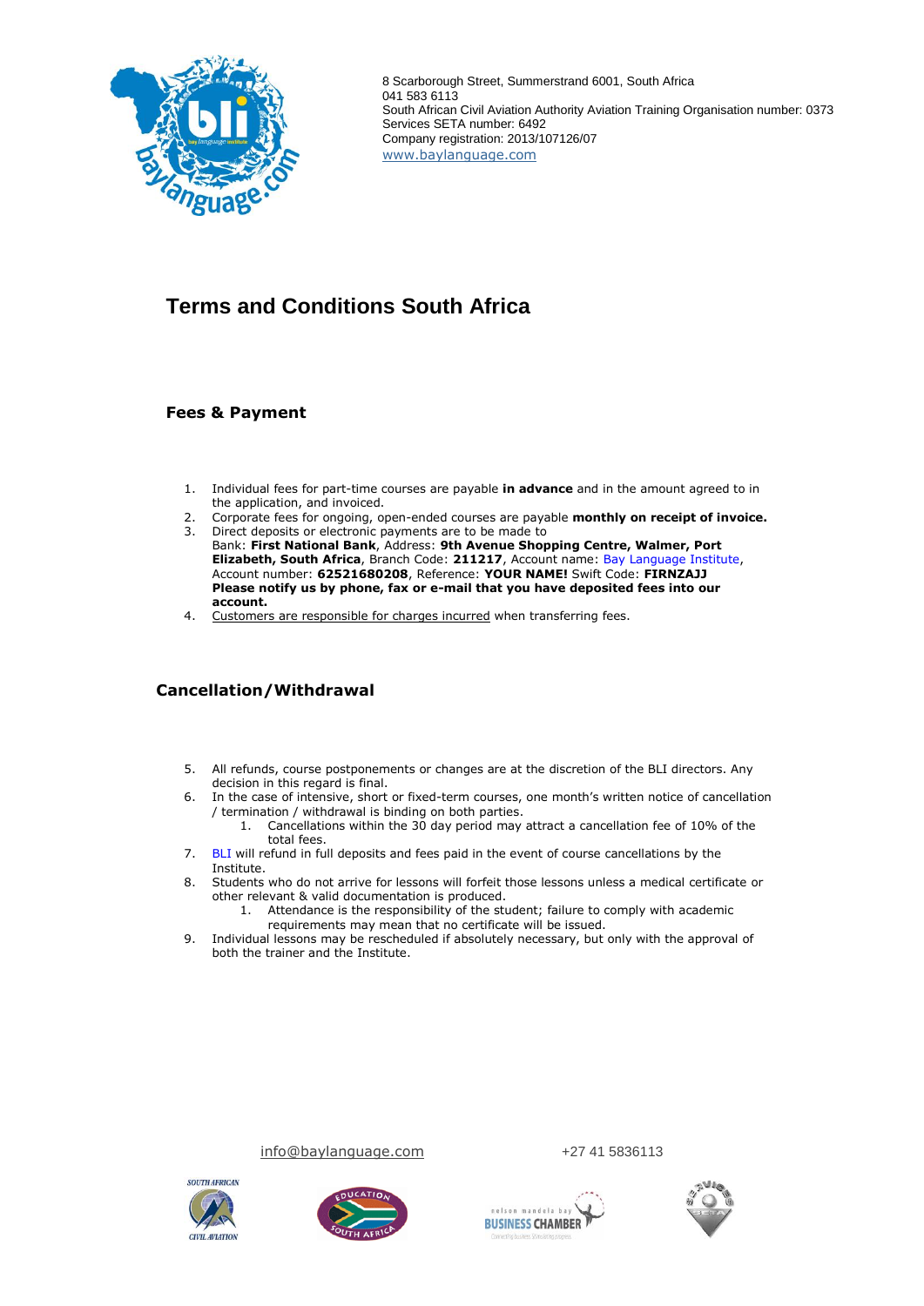

8 Scarborough Street, Summerstrand 6001, South Africa 041 583 6113 South African Civil Aviation Authority Aviation Training Organisation number: 0373 Services SETA number: 6492 Company registration: 2013/107126/07 [www.baylanguage.com](http://www.baylanguage.com/)

# **Terms and Conditions South Africa**

#### **Fees & Payment**

- 1. Individual fees for part-time courses are payable **in advance** and in the amount agreed to in the application, and invoiced.
- 2. Corporate fees for ongoing, open-ended courses are payable **monthly on receipt of invoice.** 3. Direct deposits or electronic payments are to be made to
- Bank: **First National Bank**, Address: **9th Avenue Shopping Centre, Walmer, Port Elizabeth, South Africa**, Branch Code: **211217**, Account name: Bay Language Institute, Account number: **62521680208**, Reference: **YOUR NAME!** Swift Code: **FIRNZAJJ Please notify us by phone, fax or e-mail that you have deposited fees into our account.**
- 4. Customers are responsible for charges incurred when transferring fees.

# **Cancellation/Withdrawal**

- 5. All refunds, course postponements or changes are at the discretion of the BLI directors. Any decision in this regard is final.
- 6. In the case of intensive, short or fixed-term courses, one month's written notice of cancellation / termination / withdrawal is binding on both parties.
	- 1. Cancellations within the 30 day period may attract a cancellation fee of 10% of the total fees.
- 7. BLI will refund in full deposits and fees paid in the event of course cancellations by the Institute.
- 8. Students who do not arrive for lessons will forfeit those lessons unless a medical certificate or other relevant & valid documentation is produced.
	- 1. Attendance is the responsibility of the student; failure to comply with academic requirements may mean that no certificate will be issued.
- 9. Individual lessons may be rescheduled if absolutely necessary, but only with the approval of both the trainer and the Institute.





[info@baylanguage.com](mailto:info@baylanguage.com) +27 41 5836113